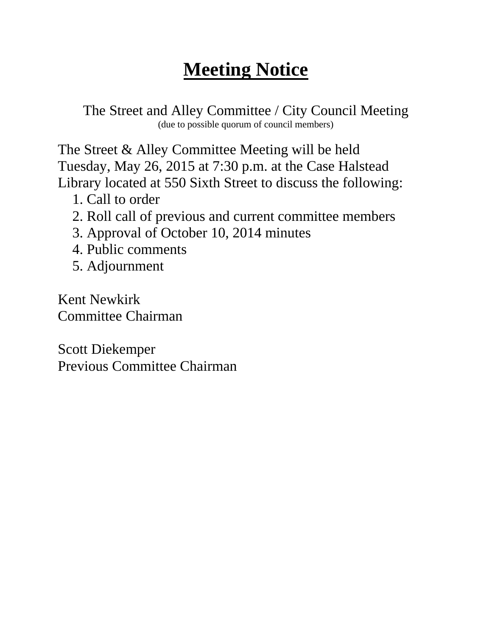## **Meeting Notice**

The Street and Alley Committee / City Council Meeting (due to possible quorum of council members)

The Street & Alley Committee Meeting will be held Tuesday, May 26, 2015 at 7:30 p.m. at the Case Halstead Library located at 550 Sixth Street to discuss the following:

- 1. Call to order
- 2. Roll call of previous and current committee members
- 3. Approval of October 10, 2014 minutes
- 4. Public comments
- 5. Adjournment

Kent Newkirk Committee Chairman

Scott Diekemper Previous Committee Chairman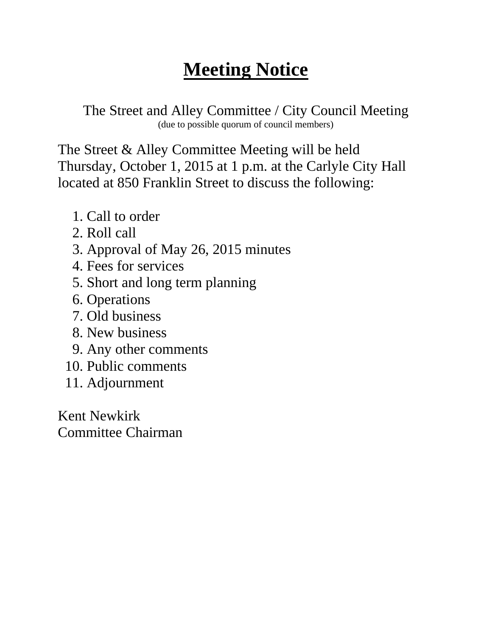## **Meeting Notice**

The Street and Alley Committee / City Council Meeting (due to possible quorum of council members)

The Street & Alley Committee Meeting will be held Thursday, October 1, 2015 at 1 p.m. at the Carlyle City Hall located at 850 Franklin Street to discuss the following:

- 1. Call to order
- 2. Roll call
- 3. Approval of May 26, 2015 minutes
- 4. Fees for services
- 5. Short and long term planning
- 6. Operations
- 7. Old business
- 8. New business
- 9. Any other comments
- 10. Public comments
- 11. Adjournment

Kent Newkirk Committee Chairman